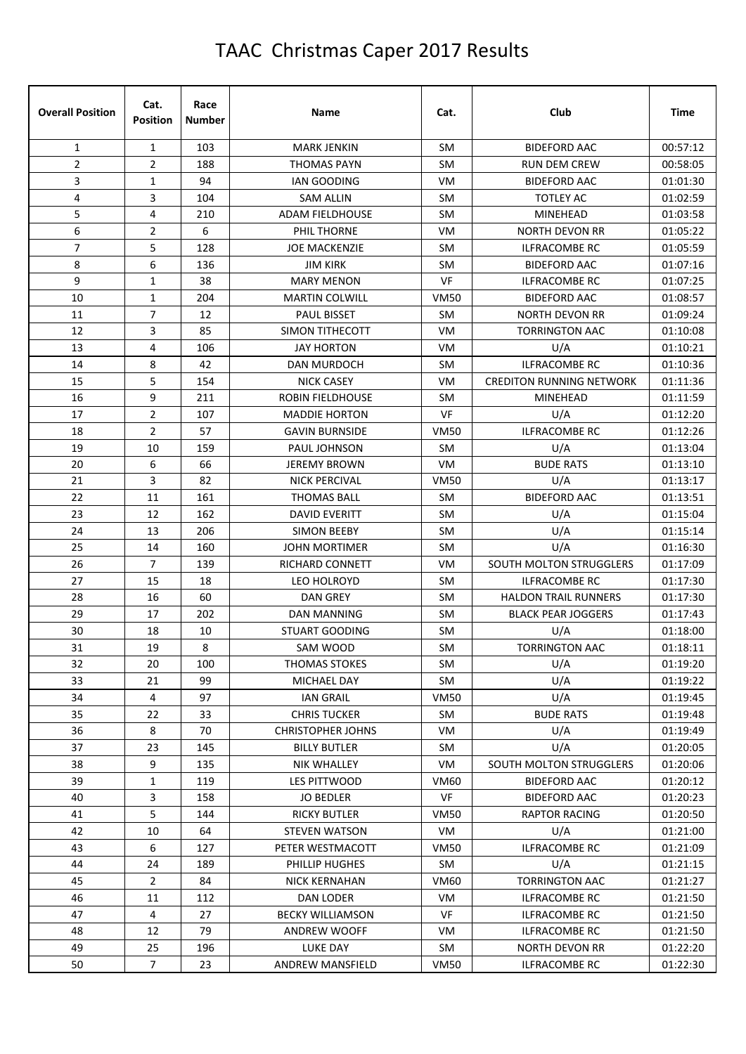| <b>Overall Position</b> | Cat.<br><b>Position</b> | Race<br><b>Number</b> | Name                     | Cat.        | Club                            | <b>Time</b> |
|-------------------------|-------------------------|-----------------------|--------------------------|-------------|---------------------------------|-------------|
| $\mathbf{1}$            | $\mathbf{1}$            | 103                   | <b>MARK JENKIN</b>       | <b>SM</b>   | <b>BIDEFORD AAC</b>             | 00:57:12    |
| 2                       | $\overline{2}$          | 188                   | <b>THOMAS PAYN</b>       | <b>SM</b>   | <b>RUN DEM CREW</b>             | 00:58:05    |
| 3                       | $1\,$                   | 94                    | <b>IAN GOODING</b>       | VM          | <b>BIDEFORD AAC</b>             | 01:01:30    |
| 4                       | 3                       | 104                   | <b>SAM ALLIN</b>         | <b>SM</b>   | <b>TOTLEY AC</b>                | 01:02:59    |
| 5                       | 4                       | 210                   | <b>ADAM FIELDHOUSE</b>   | <b>SM</b>   | <b>MINEHEAD</b>                 | 01:03:58    |
| 6                       | $\overline{2}$          | 6                     | PHIL THORNE              | VM          | <b>NORTH DEVON RR</b>           | 01:05:22    |
| $\overline{7}$          | 5                       | 128                   | <b>JOE MACKENZIE</b>     | <b>SM</b>   | <b>ILFRACOMBE RC</b>            | 01:05:59    |
| 8                       | 6                       | 136                   | <b>JIM KIRK</b>          | <b>SM</b>   | <b>BIDEFORD AAC</b>             | 01:07:16    |
| 9                       | 1                       | 38                    | <b>MARY MENON</b>        | <b>VF</b>   | <b>ILFRACOMBE RC</b>            | 01:07:25    |
| 10                      | 1                       | 204                   | <b>MARTIN COLWILL</b>    | <b>VM50</b> | <b>BIDEFORD AAC</b>             | 01:08:57    |
| 11                      | $\overline{7}$          | 12                    | <b>PAUL BISSET</b>       | <b>SM</b>   | <b>NORTH DEVON RR</b>           | 01:09:24    |
| 12                      | 3                       | 85                    | <b>SIMON TITHECOTT</b>   | VM          | <b>TORRINGTON AAC</b>           | 01:10:08    |
| 13                      | 4                       | 106                   | <b>JAY HORTON</b>        | VM          | U/A                             | 01:10:21    |
| 14                      | 8                       | 42                    | <b>DAN MURDOCH</b>       | <b>SM</b>   | <b>ILFRACOMBE RC</b>            | 01:10:36    |
| 15                      | 5                       | 154                   | <b>NICK CASEY</b>        | <b>VM</b>   | <b>CREDITON RUNNING NETWORK</b> | 01:11:36    |
| 16                      | 9                       | 211                   | <b>ROBIN FIELDHOUSE</b>  | <b>SM</b>   | MINEHEAD                        | 01:11:59    |
| 17                      | $\overline{2}$          | 107                   | <b>MADDIE HORTON</b>     | <b>VF</b>   | U/A                             | 01:12:20    |
| 18                      | $\overline{2}$          | 57                    | <b>GAVIN BURNSIDE</b>    | <b>VM50</b> | <b>ILFRACOMBE RC</b>            | 01:12:26    |
| 19                      | 10                      | 159                   | PAUL JOHNSON             | <b>SM</b>   | U/A                             | 01:13:04    |
| 20                      | 6                       | 66                    | <b>JEREMY BROWN</b>      | VM          | <b>BUDE RATS</b>                | 01:13:10    |
| 21                      | 3                       | 82                    | <b>NICK PERCIVAL</b>     | <b>VM50</b> | U/A                             | 01:13:17    |
| 22                      | 11                      | 161                   | THOMAS BALL              | <b>SM</b>   | <b>BIDEFORD AAC</b>             | 01:13:51    |
| 23                      | 12                      | 162                   | <b>DAVID EVERITT</b>     | <b>SM</b>   | U/A                             | 01:15:04    |
| 24                      | 13                      | 206                   | <b>SIMON BEEBY</b>       | <b>SM</b>   | U/A                             | 01:15:14    |
| 25                      | 14                      | 160                   | <b>JOHN MORTIMER</b>     | <b>SM</b>   | U/A                             | 01:16:30    |
| 26                      | $\overline{7}$          | 139                   | RICHARD CONNETT          | VM          | SOUTH MOLTON STRUGGLERS         | 01:17:09    |
| 27                      | 15                      | 18                    | <b>LEO HOLROYD</b>       | <b>SM</b>   | <b>ILFRACOMBE RC</b>            | 01:17:30    |
| 28                      | 16                      | 60                    | DAN GREY                 | <b>SM</b>   | <b>HALDON TRAIL RUNNERS</b>     | 01:17:30    |
| 29                      | 17                      | 202                   | DAN MANNING              | <b>SM</b>   | <b>BLACK PEAR JOGGERS</b>       | 01:17:43    |
| 30                      | 18                      | 10                    | <b>STUART GOODING</b>    | <b>SM</b>   | U/A                             | 01:18:00    |
| 31                      | 19                      | 8                     | SAM WOOD                 | SM          | <b>TORRINGTON AAC</b>           | 01:18:11    |
| 32                      | 20                      | 100                   | <b>THOMAS STOKES</b>     | SM          | U/A                             | 01:19:20    |
| 33                      | 21                      | 99                    | MICHAEL DAY              | SM          | U/A                             | 01:19:22    |
| 34                      | 4                       | 97                    | <b>IAN GRAIL</b>         | VM50        | U/A                             | 01:19:45    |
| 35                      | 22                      | 33                    | <b>CHRIS TUCKER</b>      | SM          | <b>BUDE RATS</b>                | 01:19:48    |
| 36                      | 8                       | 70                    | <b>CHRISTOPHER JOHNS</b> | VM          | U/A                             | 01:19:49    |
| 37                      | 23                      | 145                   | <b>BILLY BUTLER</b>      | SM          | U/A                             | 01:20:05    |
| 38                      | 9                       | 135                   | NIK WHALLEY              | VM          | SOUTH MOLTON STRUGGLERS         | 01:20:06    |
| 39                      | $\mathbf{1}$            | 119                   | LES PITTWOOD             | <b>VM60</b> | <b>BIDEFORD AAC</b>             | 01:20:12    |
| 40                      | 3                       | 158                   | <b>JO BEDLER</b>         | VF          | <b>BIDEFORD AAC</b>             | 01:20:23    |
| 41                      | 5                       | 144                   | <b>RICKY BUTLER</b>      | VM50        | <b>RAPTOR RACING</b>            | 01:20:50    |
| 42                      | 10                      | 64                    | <b>STEVEN WATSON</b>     | VM          | U/A                             | 01:21:00    |
| 43                      | 6                       | 127                   | PETER WESTMACOTT         | VM50        | <b>ILFRACOMBE RC</b>            | 01:21:09    |
| 44                      | 24                      | 189                   | PHILLIP HUGHES           | SM          | U/A                             | 01:21:15    |
| 45                      | $\overline{2}$          | 84                    | <b>NICK KERNAHAN</b>     | <b>VM60</b> | <b>TORRINGTON AAC</b>           | 01:21:27    |
| 46                      | 11                      | 112                   | DAN LODER                | VM          | <b>ILFRACOMBE RC</b>            | 01:21:50    |
| 47                      | 4                       | 27                    | <b>BECKY WILLIAMSON</b>  | VF          | ILFRACOMBE RC                   | 01:21:50    |
| 48                      | 12                      | 79                    | ANDREW WOOFF             | VM          | ILFRACOMBE RC                   | 01:21:50    |
| 49                      | 25                      | 196                   | LUKE DAY                 | SM          | <b>NORTH DEVON RR</b>           | 01:22:20    |
| 50                      | $\overline{7}$          | 23                    | ANDREW MANSFIELD         | <b>VM50</b> | <b>ILFRACOMBE RC</b>            | 01:22:30    |
|                         |                         |                       |                          |             |                                 |             |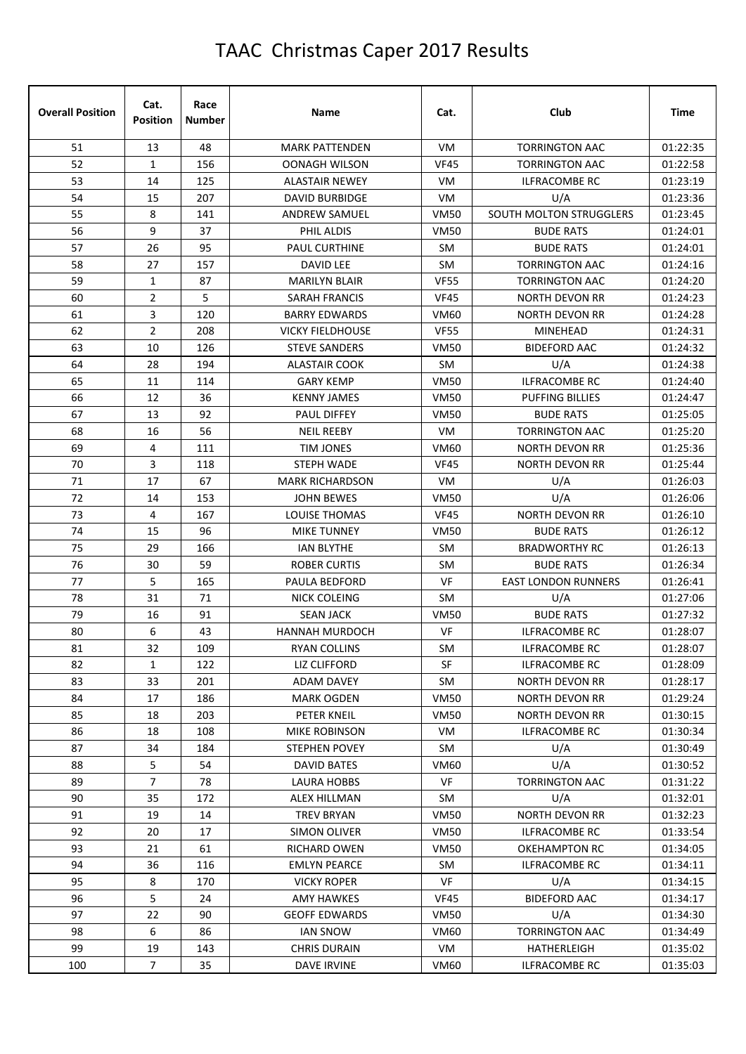| <b>Overall Position</b> | Cat.<br><b>Position</b> | Race<br><b>Number</b> | Name                    | Cat.        | Club                       | <b>Time</b> |
|-------------------------|-------------------------|-----------------------|-------------------------|-------------|----------------------------|-------------|
| 51                      | 13                      | 48                    | <b>MARK PATTENDEN</b>   | <b>VM</b>   | <b>TORRINGTON AAC</b>      | 01:22:35    |
| 52                      | $\mathbf{1}$            | 156                   | <b>OONAGH WILSON</b>    | <b>VF45</b> | <b>TORRINGTON AAC</b>      | 01:22:58    |
| 53                      | 14                      | 125                   | <b>ALASTAIR NEWEY</b>   | VM.         | <b>ILFRACOMBE RC</b>       | 01:23:19    |
| 54                      | 15                      | 207                   | <b>DAVID BURBIDGE</b>   | VM          | U/A                        | 01:23:36    |
| 55                      | 8                       | 141                   | <b>ANDREW SAMUEL</b>    | <b>VM50</b> | SOUTH MOLTON STRUGGLERS    | 01:23:45    |
| 56                      | 9                       | 37                    | PHIL ALDIS              | <b>VM50</b> | <b>BUDE RATS</b>           | 01:24:01    |
| 57                      | 26                      | 95                    | PAUL CURTHINE           | SM          | <b>BUDE RATS</b>           | 01:24:01    |
| 58                      | 27                      | 157                   | <b>DAVID LEE</b>        | SM          | <b>TORRINGTON AAC</b>      | 01:24:16    |
| 59                      | $\mathbf{1}$            | 87                    | <b>MARILYN BLAIR</b>    | <b>VF55</b> | <b>TORRINGTON AAC</b>      | 01:24:20    |
| 60                      | $\overline{2}$          | 5                     | SARAH FRANCIS           | VF45        | <b>NORTH DEVON RR</b>      | 01:24:23    |
| 61                      | 3                       | 120                   | <b>BARRY EDWARDS</b>    | <b>VM60</b> | NORTH DEVON RR             | 01:24:28    |
| 62                      | $\overline{2}$          | 208                   | <b>VICKY FIELDHOUSE</b> | <b>VF55</b> | <b>MINEHEAD</b>            | 01:24:31    |
| 63                      | 10                      | 126                   | <b>STEVE SANDERS</b>    | <b>VM50</b> | <b>BIDEFORD AAC</b>        | 01:24:32    |
| 64                      | 28                      | 194                   | <b>ALASTAIR COOK</b>    | SM          | U/A                        | 01:24:38    |
| 65                      | 11                      | 114                   | <b>GARY KEMP</b>        | <b>VM50</b> | <b>ILFRACOMBE RC</b>       | 01:24:40    |
| 66                      | 12                      | 36                    | <b>KENNY JAMES</b>      | <b>VM50</b> | <b>PUFFING BILLIES</b>     | 01:24:47    |
| 67                      | 13                      | 92                    | <b>PAUL DIFFEY</b>      | <b>VM50</b> | <b>BUDE RATS</b>           | 01:25:05    |
| 68                      | 16                      | 56                    | <b>NEIL REEBY</b>       | <b>VM</b>   | <b>TORRINGTON AAC</b>      | 01:25:20    |
| 69                      | 4                       | 111                   | TIM JONES               | VM60        | NORTH DEVON RR             | 01:25:36    |
| 70                      | 3                       | 118                   | <b>STEPH WADE</b>       | <b>VF45</b> | <b>NORTH DEVON RR</b>      | 01:25:44    |
| 71                      | 17                      | 67                    | <b>MARK RICHARDSON</b>  | VM          | U/A                        | 01:26:03    |
| 72                      | 14                      | 153                   | <b>JOHN BEWES</b>       | <b>VM50</b> | U/A                        | 01:26:06    |
| 73                      | 4                       | 167                   | LOUISE THOMAS           | <b>VF45</b> | NORTH DEVON RR             | 01:26:10    |
| 74                      | 15                      | 96                    | <b>MIKE TUNNEY</b>      | <b>VM50</b> | <b>BUDE RATS</b>           | 01:26:12    |
| 75                      | 29                      | 166                   | <b>IAN BLYTHE</b>       | SM          | <b>BRADWORTHY RC</b>       | 01:26:13    |
| 76                      | 30                      | 59                    | ROBER CURTIS            | SM          | <b>BUDE RATS</b>           | 01:26:34    |
| 77                      | 5                       | 165                   | PAULA BEDFORD           | VF          | <b>EAST LONDON RUNNERS</b> | 01:26:41    |
| 78                      | 31                      | 71                    | NICK COLEING            | SM          | U/A                        | 01:27:06    |
| 79                      | 16                      | 91                    | <b>SEAN JACK</b>        | <b>VM50</b> | <b>BUDE RATS</b>           | 01:27:32    |
| 80                      | 6                       | 43                    | <b>HANNAH MURDOCH</b>   | VF          | <b>ILFRACOMBE RC</b>       | 01:28:07    |
| 81                      | 32                      | 109                   | RYAN COLLINS            | SM          | ILFRACOMBE RC              | 01:28:07    |
| 82                      | 1                       | 122                   | LIZ CLIFFORD            | SF          | ILFRACOMBE RC              | 01:28:09    |
| 83                      | 33                      | 201                   | <b>ADAM DAVEY</b>       | SM          | <b>NORTH DEVON RR</b>      | 01:28:17    |
| 84                      | 17                      | 186                   | <b>MARK OGDEN</b>       | <b>VM50</b> | <b>NORTH DEVON RR</b>      | 01:29:24    |
| 85                      | 18                      | 203                   | PETER KNEIL             | <b>VM50</b> | NORTH DEVON RR             | 01:30:15    |
| 86                      | 18                      | 108                   | MIKE ROBINSON           | VM          | <b>ILFRACOMBE RC</b>       | 01:30:34    |
| 87                      | 34                      | 184                   | STEPHEN POVEY           | SM          | U/A                        | 01:30:49    |
| 88                      | 5                       | 54                    | DAVID BATES             | <b>VM60</b> | U/A                        | 01:30:52    |
| 89                      | $\overline{7}$          | 78                    | LAURA HOBBS             | VF          | <b>TORRINGTON AAC</b>      | 01:31:22    |
| 90                      | 35                      | 172                   | <b>ALEX HILLMAN</b>     | SM          | U/A                        | 01:32:01    |
| 91                      | 19                      | 14                    | <b>TREV BRYAN</b>       | <b>VM50</b> | NORTH DEVON RR             | 01:32:23    |
| 92                      | 20                      | 17                    | SIMON OLIVER            | <b>VM50</b> | ILFRACOMBE RC              | 01:33:54    |
| 93                      | 21                      | 61                    | RICHARD OWEN            | VM50        | <b>OKEHAMPTON RC</b>       | 01:34:05    |
| 94                      | 36                      | 116                   | <b>EMLYN PEARCE</b>     | SM          | <b>ILFRACOMBE RC</b>       | 01:34:11    |
| 95                      | 8                       | 170                   | <b>VICKY ROPER</b>      | VF          | U/A                        | 01:34:15    |
| 96                      | 5                       | 24                    | <b>AMY HAWKES</b>       | <b>VF45</b> | <b>BIDEFORD AAC</b>        | 01:34:17    |
| 97                      | 22                      | 90                    | <b>GEOFF EDWARDS</b>    | <b>VM50</b> | U/A                        | 01:34:30    |
| 98                      | 6                       | 86                    | <b>IAN SNOW</b>         | VM60        | <b>TORRINGTON AAC</b>      | 01:34:49    |
| 99                      | 19                      | 143                   | <b>CHRIS DURAIN</b>     | VM          | HATHERLEIGH                | 01:35:02    |
| 100                     | $\overline{7}$          | 35                    | <b>DAVE IRVINE</b>      | <b>VM60</b> | ILFRACOMBE RC              | 01:35:03    |
|                         |                         |                       |                         |             |                            |             |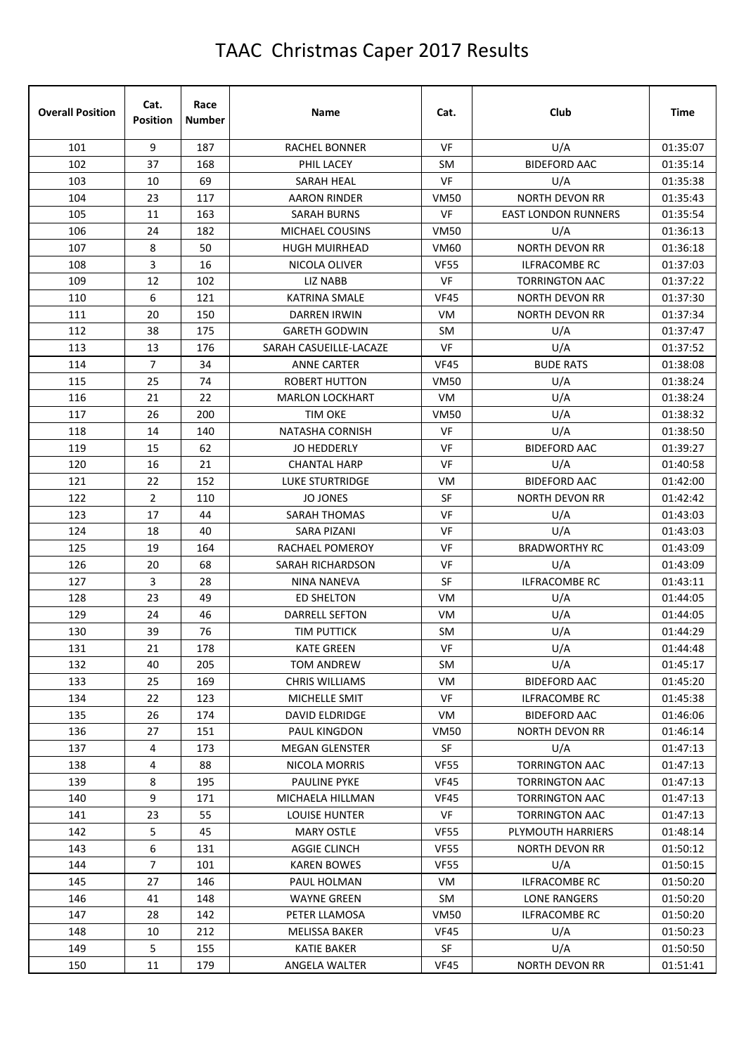| 101<br>9<br>187<br>VF<br>U/A<br>RACHEL BONNER<br>102<br>37<br>168<br>PHIL LACEY<br><b>SM</b><br><b>BIDEFORD AAC</b><br>VF<br>69<br>103<br>10<br><b>SARAH HEAL</b><br>U/A<br>NORTH DEVON RR<br>104<br>23<br>117<br><b>VM50</b><br><b>AARON RINDER</b><br>VF<br>105<br>163<br><b>EAST LONDON RUNNERS</b><br>11<br><b>SARAH BURNS</b><br>U/A<br>106<br>24<br>182<br><b>VM50</b><br>MICHAEL COUSINS<br>107<br>8<br>50<br>NORTH DEVON RR<br><b>HUGH MUIRHEAD</b><br><b>VM60</b><br>3<br>16<br>108<br>NICOLA OLIVER<br><b>VF55</b><br><b>ILFRACOMBE RC</b><br>109<br>12<br>102<br>VF<br>LIZ NABB<br><b>TORRINGTON AAC</b><br>6<br>110<br>121<br><b>VF45</b><br>KATRINA SMALE<br><b>NORTH DEVON RR</b><br>111<br>20<br>150<br><b>VM</b><br><b>NORTH DEVON RR</b><br>DARREN IRWIN<br>38<br>112<br>175<br>U/A<br><b>GARETH GODWIN</b><br>SM<br>U/A<br>13<br>VF<br>113<br>176<br>SARAH CASUEILLE-LACAZE | <b>Time</b> | Club | Cat. | Name | Race<br>Number | Cat.<br><b>Position</b> | <b>Overall Position</b> |
|-----------------------------------------------------------------------------------------------------------------------------------------------------------------------------------------------------------------------------------------------------------------------------------------------------------------------------------------------------------------------------------------------------------------------------------------------------------------------------------------------------------------------------------------------------------------------------------------------------------------------------------------------------------------------------------------------------------------------------------------------------------------------------------------------------------------------------------------------------------------------------------------------|-------------|------|------|------|----------------|-------------------------|-------------------------|
|                                                                                                                                                                                                                                                                                                                                                                                                                                                                                                                                                                                                                                                                                                                                                                                                                                                                                               | 01:35:07    |      |      |      |                |                         |                         |
|                                                                                                                                                                                                                                                                                                                                                                                                                                                                                                                                                                                                                                                                                                                                                                                                                                                                                               | 01:35:14    |      |      |      |                |                         |                         |
|                                                                                                                                                                                                                                                                                                                                                                                                                                                                                                                                                                                                                                                                                                                                                                                                                                                                                               | 01:35:38    |      |      |      |                |                         |                         |
|                                                                                                                                                                                                                                                                                                                                                                                                                                                                                                                                                                                                                                                                                                                                                                                                                                                                                               | 01:35:43    |      |      |      |                |                         |                         |
|                                                                                                                                                                                                                                                                                                                                                                                                                                                                                                                                                                                                                                                                                                                                                                                                                                                                                               | 01:35:54    |      |      |      |                |                         |                         |
|                                                                                                                                                                                                                                                                                                                                                                                                                                                                                                                                                                                                                                                                                                                                                                                                                                                                                               | 01:36:13    |      |      |      |                |                         |                         |
|                                                                                                                                                                                                                                                                                                                                                                                                                                                                                                                                                                                                                                                                                                                                                                                                                                                                                               | 01:36:18    |      |      |      |                |                         |                         |
|                                                                                                                                                                                                                                                                                                                                                                                                                                                                                                                                                                                                                                                                                                                                                                                                                                                                                               | 01:37:03    |      |      |      |                |                         |                         |
|                                                                                                                                                                                                                                                                                                                                                                                                                                                                                                                                                                                                                                                                                                                                                                                                                                                                                               | 01:37:22    |      |      |      |                |                         |                         |
|                                                                                                                                                                                                                                                                                                                                                                                                                                                                                                                                                                                                                                                                                                                                                                                                                                                                                               | 01:37:30    |      |      |      |                |                         |                         |
|                                                                                                                                                                                                                                                                                                                                                                                                                                                                                                                                                                                                                                                                                                                                                                                                                                                                                               | 01:37:34    |      |      |      |                |                         |                         |
|                                                                                                                                                                                                                                                                                                                                                                                                                                                                                                                                                                                                                                                                                                                                                                                                                                                                                               | 01:37:47    |      |      |      |                |                         |                         |
|                                                                                                                                                                                                                                                                                                                                                                                                                                                                                                                                                                                                                                                                                                                                                                                                                                                                                               | 01:37:52    |      |      |      |                |                         |                         |
| 114<br>$\overline{7}$<br>34<br><b>VF45</b><br><b>BUDE RATS</b><br><b>ANNE CARTER</b>                                                                                                                                                                                                                                                                                                                                                                                                                                                                                                                                                                                                                                                                                                                                                                                                          | 01:38:08    |      |      |      |                |                         |                         |
| 115<br>25<br>74<br><b>ROBERT HUTTON</b><br><b>VM50</b><br>U/A                                                                                                                                                                                                                                                                                                                                                                                                                                                                                                                                                                                                                                                                                                                                                                                                                                 | 01:38:24    |      |      |      |                |                         |                         |
| U/A<br>116<br>22<br>VM<br>21<br><b>MARLON LOCKHART</b>                                                                                                                                                                                                                                                                                                                                                                                                                                                                                                                                                                                                                                                                                                                                                                                                                                        | 01:38:24    |      |      |      |                |                         |                         |
| 117<br>U/A<br>26<br>200<br><b>TIM OKE</b><br><b>VM50</b>                                                                                                                                                                                                                                                                                                                                                                                                                                                                                                                                                                                                                                                                                                                                                                                                                                      | 01:38:32    |      |      |      |                |                         |                         |
| U/A<br>118<br>14<br>140<br><b>NATASHA CORNISH</b><br>VF                                                                                                                                                                                                                                                                                                                                                                                                                                                                                                                                                                                                                                                                                                                                                                                                                                       | 01:38:50    |      |      |      |                |                         |                         |
| 62<br>119<br>15<br>JO HEDDERLY<br>VF<br><b>BIDEFORD AAC</b>                                                                                                                                                                                                                                                                                                                                                                                                                                                                                                                                                                                                                                                                                                                                                                                                                                   | 01:39:27    |      |      |      |                |                         |                         |
| 21<br><b>VF</b><br>U/A<br>120<br>16<br><b>CHANTAL HARP</b>                                                                                                                                                                                                                                                                                                                                                                                                                                                                                                                                                                                                                                                                                                                                                                                                                                    | 01:40:58    |      |      |      |                |                         |                         |
| <b>BIDEFORD AAC</b><br>121<br>22<br>152<br>LUKE STURTRIDGE<br>VM                                                                                                                                                                                                                                                                                                                                                                                                                                                                                                                                                                                                                                                                                                                                                                                                                              | 01:42:00    |      |      |      |                |                         |                         |
| 122<br>$\overline{2}$<br>SF<br>110<br><b>JO JONES</b><br><b>NORTH DEVON RR</b>                                                                                                                                                                                                                                                                                                                                                                                                                                                                                                                                                                                                                                                                                                                                                                                                                | 01:42:42    |      |      |      |                |                         |                         |
| VF<br>123<br>17<br>44<br><b>SARAH THOMAS</b><br>U/A                                                                                                                                                                                                                                                                                                                                                                                                                                                                                                                                                                                                                                                                                                                                                                                                                                           | 01:43:03    |      |      |      |                |                         |                         |
| <b>VF</b><br>U/A<br>124<br>18<br>40<br>SARA PIZANI                                                                                                                                                                                                                                                                                                                                                                                                                                                                                                                                                                                                                                                                                                                                                                                                                                            | 01:43:03    |      |      |      |                |                         |                         |
| 125<br>19<br>VF<br><b>BRADWORTHY RC</b><br>164<br>RACHAEL POMEROY                                                                                                                                                                                                                                                                                                                                                                                                                                                                                                                                                                                                                                                                                                                                                                                                                             | 01:43:09    |      |      |      |                |                         |                         |
| 126<br>20<br>68<br>VF<br>U/A<br>SARAH RICHARDSON                                                                                                                                                                                                                                                                                                                                                                                                                                                                                                                                                                                                                                                                                                                                                                                                                                              | 01:43:09    |      |      |      |                |                         |                         |
| 3<br>28<br>SF<br><b>ILFRACOMBE RC</b><br>127<br><b>NINA NANEVA</b>                                                                                                                                                                                                                                                                                                                                                                                                                                                                                                                                                                                                                                                                                                                                                                                                                            | 01:43:11    |      |      |      |                |                         |                         |
| 128<br>23<br>49<br>VM<br>U/A<br><b>ED SHELTON</b>                                                                                                                                                                                                                                                                                                                                                                                                                                                                                                                                                                                                                                                                                                                                                                                                                                             | 01:44:05    |      |      |      |                |                         |                         |
| 129<br>U/A<br>24<br>46<br><b>DARRELL SEFTON</b><br>VM                                                                                                                                                                                                                                                                                                                                                                                                                                                                                                                                                                                                                                                                                                                                                                                                                                         | 01:44:05    |      |      |      |                |                         |                         |
| 130<br>39<br>76<br>U/A<br><b>TIM PUTTICK</b><br>SM                                                                                                                                                                                                                                                                                                                                                                                                                                                                                                                                                                                                                                                                                                                                                                                                                                            | 01:44:29    |      |      |      |                |                         |                         |
| $21\,$<br>U/A<br>131<br>178<br>VF<br><b>KATE GREEN</b>                                                                                                                                                                                                                                                                                                                                                                                                                                                                                                                                                                                                                                                                                                                                                                                                                                        | 01:44:48    |      |      |      |                |                         |                         |
| U/A<br>132<br>40<br>205<br>SM<br>TOM ANDREW                                                                                                                                                                                                                                                                                                                                                                                                                                                                                                                                                                                                                                                                                                                                                                                                                                                   | 01:45:17    |      |      |      |                |                         |                         |
| 133<br>25<br>169<br><b>CHRIS WILLIAMS</b><br>VM<br><b>BIDEFORD AAC</b>                                                                                                                                                                                                                                                                                                                                                                                                                                                                                                                                                                                                                                                                                                                                                                                                                        | 01:45:20    |      |      |      |                |                         |                         |
| VF<br>134<br>22<br>123<br>MICHELLE SMIT<br><b>ILFRACOMBE RC</b>                                                                                                                                                                                                                                                                                                                                                                                                                                                                                                                                                                                                                                                                                                                                                                                                                               | 01:45:38    |      |      |      |                |                         |                         |
| 135<br>26<br>174<br>DAVID ELDRIDGE<br>VM<br><b>BIDEFORD AAC</b>                                                                                                                                                                                                                                                                                                                                                                                                                                                                                                                                                                                                                                                                                                                                                                                                                               | 01:46:06    |      |      |      |                |                         |                         |
| 136<br>151<br>27<br>PAUL KINGDON<br><b>VM50</b><br><b>NORTH DEVON RR</b>                                                                                                                                                                                                                                                                                                                                                                                                                                                                                                                                                                                                                                                                                                                                                                                                                      | 01:46:14    |      |      |      |                |                         |                         |
| U/A<br>137<br>4<br>173<br><b>MEGAN GLENSTER</b><br>SF                                                                                                                                                                                                                                                                                                                                                                                                                                                                                                                                                                                                                                                                                                                                                                                                                                         | 01:47:13    |      |      |      |                |                         |                         |
| 138<br>4<br>88<br><b>VF55</b><br><b>TORRINGTON AAC</b><br>NICOLA MORRIS                                                                                                                                                                                                                                                                                                                                                                                                                                                                                                                                                                                                                                                                                                                                                                                                                       | 01:47:13    |      |      |      |                |                         |                         |
| 139<br>8<br>195<br><b>PAULINE PYKE</b><br>VF45<br><b>TORRINGTON AAC</b>                                                                                                                                                                                                                                                                                                                                                                                                                                                                                                                                                                                                                                                                                                                                                                                                                       | 01:47:13    |      |      |      |                |                         |                         |
| 9<br>140<br>171<br>MICHAELA HILLMAN<br>VF45<br><b>TORRINGTON AAC</b>                                                                                                                                                                                                                                                                                                                                                                                                                                                                                                                                                                                                                                                                                                                                                                                                                          | 01:47:13    |      |      |      |                |                         |                         |
| 23<br>55<br>VF<br>TORRINGTON AAC<br>141<br><b>LOUISE HUNTER</b>                                                                                                                                                                                                                                                                                                                                                                                                                                                                                                                                                                                                                                                                                                                                                                                                                               | 01:47:13    |      |      |      |                |                         |                         |
| 142<br>5<br>45<br><b>MARY OSTLE</b><br>PLYMOUTH HARRIERS<br>VF55                                                                                                                                                                                                                                                                                                                                                                                                                                                                                                                                                                                                                                                                                                                                                                                                                              | 01:48:14    |      |      |      |                |                         |                         |
| 143<br>6<br>131<br><b>AGGIE CLINCH</b><br><b>VF55</b><br><b>NORTH DEVON RR</b>                                                                                                                                                                                                                                                                                                                                                                                                                                                                                                                                                                                                                                                                                                                                                                                                                | 01:50:12    |      |      |      |                |                         |                         |
| $\overline{7}$<br>U/A<br>144<br>101<br><b>KAREN BOWES</b><br><b>VF55</b>                                                                                                                                                                                                                                                                                                                                                                                                                                                                                                                                                                                                                                                                                                                                                                                                                      | 01:50:15    |      |      |      |                |                         |                         |
| 145<br>27<br>146<br>ILFRACOMBE RC<br>PAUL HOLMAN<br>VM                                                                                                                                                                                                                                                                                                                                                                                                                                                                                                                                                                                                                                                                                                                                                                                                                                        | 01:50:20    |      |      |      |                |                         |                         |
| 146<br>41<br>148<br><b>WAYNE GREEN</b><br>SM<br>LONE RANGERS                                                                                                                                                                                                                                                                                                                                                                                                                                                                                                                                                                                                                                                                                                                                                                                                                                  | 01:50:20    |      |      |      |                |                         |                         |
| 147<br><b>VM50</b><br><b>ILFRACOMBE RC</b><br>28<br>142<br>PETER LLAMOSA                                                                                                                                                                                                                                                                                                                                                                                                                                                                                                                                                                                                                                                                                                                                                                                                                      | 01:50:20    |      |      |      |                |                         |                         |
| U/A<br>148<br>10<br><b>VF45</b><br>212<br>MELISSA BAKER                                                                                                                                                                                                                                                                                                                                                                                                                                                                                                                                                                                                                                                                                                                                                                                                                                       | 01:50:23    |      |      |      |                |                         |                         |
| 5<br>U/A<br>149<br>155<br><b>KATIE BAKER</b><br>SF                                                                                                                                                                                                                                                                                                                                                                                                                                                                                                                                                                                                                                                                                                                                                                                                                                            | 01:50:50    |      |      |      |                |                         |                         |
| 179<br><b>VF45</b><br>150<br>11<br>ANGELA WALTER<br><b>NORTH DEVON RR</b><br>01:51:41                                                                                                                                                                                                                                                                                                                                                                                                                                                                                                                                                                                                                                                                                                                                                                                                         |             |      |      |      |                |                         |                         |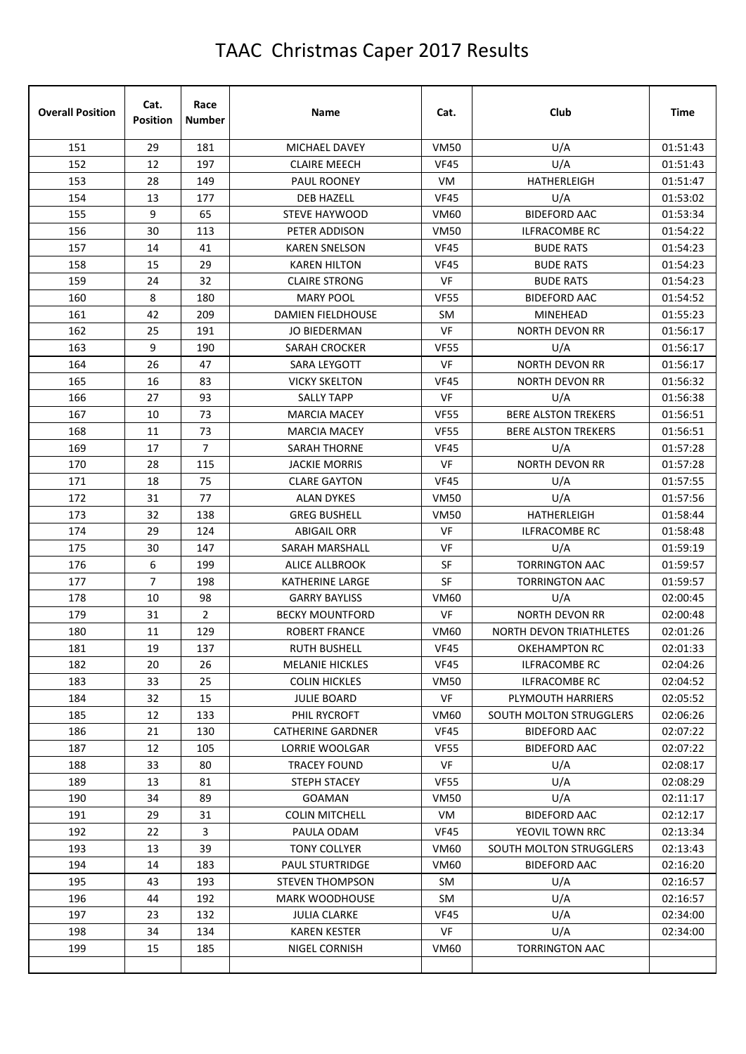| <b>Overall Position</b> | Cat.<br><b>Position</b> | Race<br><b>Number</b> | Name                     | Cat.        | Club                           | <b>Time</b> |
|-------------------------|-------------------------|-----------------------|--------------------------|-------------|--------------------------------|-------------|
| 151                     | 29                      | 181                   | MICHAEL DAVEY            | <b>VM50</b> | U/A                            | 01:51:43    |
| 152                     | 12                      | 197                   | <b>CLAIRE MEECH</b>      | <b>VF45</b> | U/A                            | 01:51:43    |
| 153                     | 28                      | 149                   | PAUL ROONEY              | VM.         | HATHERLEIGH                    | 01:51:47    |
| 154                     | 13                      | 177                   | <b>DEB HAZELL</b>        | <b>VF45</b> | U/A                            | 01:53:02    |
| 155                     | 9                       | 65                    | <b>STEVE HAYWOOD</b>     | <b>VM60</b> | <b>BIDEFORD AAC</b>            | 01:53:34    |
| 156                     | 30                      | 113                   | PETER ADDISON            | <b>VM50</b> | <b>ILFRACOMBE RC</b>           | 01:54:22    |
| 157                     | 14                      | 41                    | <b>KAREN SNELSON</b>     | <b>VF45</b> | <b>BUDE RATS</b>               | 01:54:23    |
| 158                     | 15                      | 29                    | <b>KAREN HILTON</b>      | <b>VF45</b> | <b>BUDE RATS</b>               | 01:54:23    |
| 159                     | 24                      | 32                    | <b>CLAIRE STRONG</b>     | VF          | <b>BUDE RATS</b>               | 01:54:23    |
| 160                     | 8                       | 180                   | <b>MARY POOL</b>         | <b>VF55</b> | <b>BIDEFORD AAC</b>            | 01:54:52    |
| 161                     | 42                      | 209                   | <b>DAMIEN FIELDHOUSE</b> | SM          | <b>MINEHEAD</b>                | 01:55:23    |
| 162                     | 25                      | 191                   | <b>JO BIEDERMAN</b>      | VF          | NORTH DEVON RR                 | 01:56:17    |
| 163                     | 9                       | 190                   | SARAH CROCKER            | <b>VF55</b> | U/A                            | 01:56:17    |
| 164                     | 26                      | 47                    | SARA LEYGOTT             | VF          | <b>NORTH DEVON RR</b>          | 01:56:17    |
| 165                     | 16                      | 83                    | <b>VICKY SKELTON</b>     | <b>VF45</b> | <b>NORTH DEVON RR</b>          | 01:56:32    |
| 166                     | 27                      | 93                    | <b>SALLY TAPP</b>        | VF          | U/A                            | 01:56:38    |
| 167                     | 10                      | 73                    | <b>MARCIA MACEY</b>      | <b>VF55</b> | <b>BERE ALSTON TREKERS</b>     | 01:56:51    |
| 168                     | 11                      | 73                    | <b>MARCIA MACEY</b>      | <b>VF55</b> | <b>BERE ALSTON TREKERS</b>     | 01:56:51    |
| 169                     | 17                      | 7                     | <b>SARAH THORNE</b>      | <b>VF45</b> | U/A                            | 01:57:28    |
| 170                     | 28                      | 115                   | <b>JACKIE MORRIS</b>     | VF          | <b>NORTH DEVON RR</b>          | 01:57:28    |
| 171                     | 18                      | 75                    | <b>CLARE GAYTON</b>      | <b>VF45</b> | U/A                            | 01:57:55    |
| 172                     | 31                      | 77                    | <b>ALAN DYKES</b>        | <b>VM50</b> | U/A                            | 01:57:56    |
| 173                     | 32                      | 138                   | <b>GREG BUSHELL</b>      | <b>VM50</b> | HATHERLEIGH                    | 01:58:44    |
| 174                     | 29                      | 124                   | <b>ABIGAIL ORR</b>       | VF          | <b>ILFRACOMBE RC</b>           | 01:58:48    |
| 175                     | 30                      | 147                   | <b>SARAH MARSHALL</b>    | <b>VF</b>   | U/A                            | 01:59:19    |
| 176                     | 6                       | 199                   | ALICE ALLBROOK           | SF          | <b>TORRINGTON AAC</b>          | 01:59:57    |
| 177                     | $\overline{7}$          | 198                   | <b>KATHERINE LARGE</b>   | SF          | <b>TORRINGTON AAC</b>          | 01:59:57    |
| 178                     | 10                      | 98                    | <b>GARRY BAYLISS</b>     | VM60        | U/A                            | 02:00:45    |
| 179                     | 31                      | $\overline{2}$        | <b>BECKY MOUNTFORD</b>   | VF          | <b>NORTH DEVON RR</b>          | 02:00:48    |
| 180                     | 11                      | 129                   | ROBERT FRANCE            | VM60        | <b>NORTH DEVON TRIATHLETES</b> | 02:01:26    |
| 181                     | 19                      | 137                   | <b>RUTH BUSHELL</b>      | VF45        | <b>OKEHAMPTON RC</b>           | 02:01:33    |
| 182                     | 20                      | 26                    | <b>MELANIE HICKLES</b>   | <b>VF45</b> | ILFRACOMBE RC                  | 02:04:26    |
| 183                     | 33                      | 25                    | <b>COLIN HICKLES</b>     | <b>VM50</b> | <b>ILFRACOMBE RC</b>           | 02:04:52    |
| 184                     | 32                      | 15                    | <b>JULIE BOARD</b>       | VF          | PLYMOUTH HARRIERS              | 02:05:52    |
| 185                     | 12                      | 133                   | PHIL RYCROFT             | VM60        | SOUTH MOLTON STRUGGLERS        | 02:06:26    |
| 186                     | 21                      | 130                   | <b>CATHERINE GARDNER</b> | <b>VF45</b> | <b>BIDEFORD AAC</b>            | 02:07:22    |
| 187                     | 12                      | 105                   | LORRIE WOOLGAR           | <b>VF55</b> | <b>BIDEFORD AAC</b>            | 02:07:22    |
| 188                     | 33                      | 80                    | TRACEY FOUND             | VF          | U/A                            | 02:08:17    |
| 189                     | 13                      | 81                    | STEPH STACEY             | <b>VF55</b> | U/A                            | 02:08:29    |
| 190                     | 34                      | 89                    | <b>GOAMAN</b>            | <b>VM50</b> | U/A                            | 02:11:17    |
| 191                     | 29                      | 31                    | <b>COLIN MITCHELL</b>    | VM          | <b>BIDEFORD AAC</b>            | 02:12:17    |
| 192                     | 22                      | 3                     | PAULA ODAM               | <b>VF45</b> | YEOVIL TOWN RRC                | 02:13:34    |
| 193                     | 13                      | 39                    | <b>TONY COLLYER</b>      | VM60        | SOUTH MOLTON STRUGGLERS        | 02:13:43    |
| 194                     | 14                      | 183                   | <b>PAUL STURTRIDGE</b>   | VM60        | <b>BIDEFORD AAC</b>            | 02:16:20    |
| 195                     | 43                      | 193                   | <b>STEVEN THOMPSON</b>   | SM          | U/A                            | 02:16:57    |
| 196                     | 44                      | 192                   | <b>MARK WOODHOUSE</b>    | SM          | U/A                            | 02:16:57    |
| 197                     | 23                      | 132                   | <b>JULIA CLARKE</b>      | <b>VF45</b> | U/A                            | 02:34:00    |
| 198                     | 34                      | 134                   | <b>KAREN KESTER</b>      | VF          | U/A                            | 02:34:00    |
| 199                     | 15                      | 185                   | NIGEL CORNISH            | VM60        | <b>TORRINGTON AAC</b>          |             |
|                         |                         |                       |                          |             |                                |             |